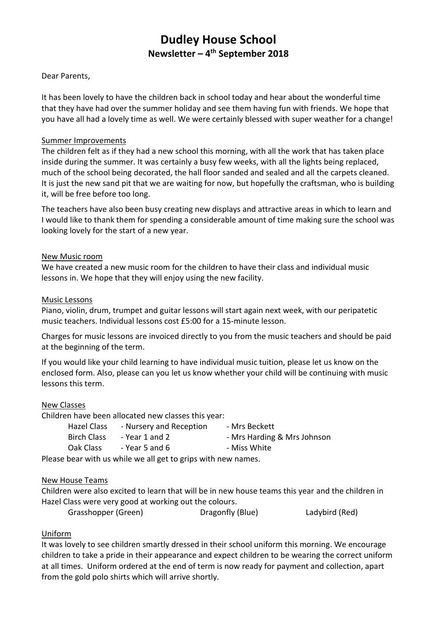# **Dudley House School Newsletter – 4 th September 2018**

#### Dear Parents,

It has been lovely to have the children back in school today and hear about the wonderful time that they have had over the summer holiday and see them having fun with friends. We hope that you have all had a lovely time as well. We were certainly blessed with super weather for a change!

#### Summer Improvements

The children felt as if they had a new school this morning, with all the work that has taken place inside during the summer. It was certainly a busy few weeks, with all the lights being replaced, much of the school being decorated, the hall floor sanded and sealed and all the carpets cleaned. It is just the new sand pit that we are waiting for now, but hopefully the craftsman, who is building it, will be free before too long.

The teachers have also been busy creating new displays and attractive areas in which to learn and I would like to thank them for spending a considerable amount of time making sure the school was looking lovely for the start of a new year.

#### New Music room

We have created a new music room for the children to have their class and individual music lessons in. We hope that they will enjoy using the new facility.

#### Music Lessons

Piano, violin, drum, trumpet and guitar lessons will start again next week, with our peripatetic music teachers. Individual lessons cost £5:00 for a 15-minute lesson.

Charges for music lessons are invoiced directly to you from the music teachers and should be paid at the beginning of the term.

If you would like your child learning to have individual music tuition, please let us know on the enclosed form. Also, please can you let us know whether your child will be continuing with music lessons this term.

#### New Classes

Children have been allocated new classes this year:

| Hazel Class        | - Nursery and Reception | - Mrs Beckett               |
|--------------------|-------------------------|-----------------------------|
| <b>Birch Class</b> | - Year 1 and 2          | - Mrs Harding & Mrs Johnson |
| Oak Class          | - Year 5 and 6          | - Miss White                |

Please bear with us while we all get to grips with new names.

#### New House Teams

Children were also excited to learn that will be in new house teams this year and the children in Hazel Class were very good at working out the colours.

Grasshopper (Green) Dragonfly (Blue) Ladybird (Red)

## Uniform

It was lovely to see children smartly dressed in their school uniform this morning. We encourage children to take a pride in their appearance and expect children to be wearing the correct uniform at all times. Uniform ordered at the end of term is now ready for payment and collection, apart from the gold polo shirts which will arrive shortly.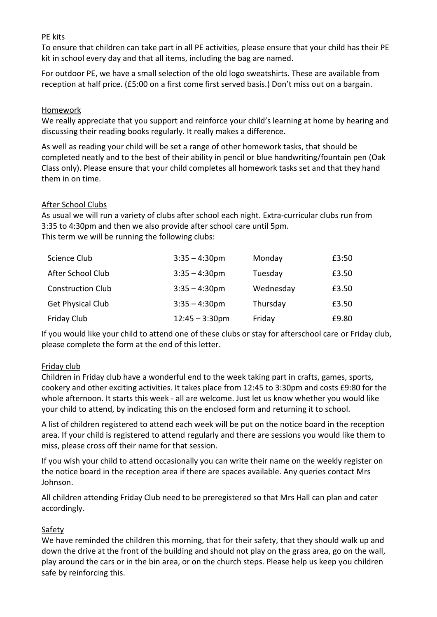#### PE kits

To ensure that children can take part in all PE activities, please ensure that your child has their PE kit in school every day and that all items, including the bag are named.

For outdoor PE, we have a small selection of the old logo sweatshirts. These are available from reception at half price. (£5:00 on a first come first served basis.) Don't miss out on a bargain.

#### Homework

We really appreciate that you support and reinforce your child's learning at home by hearing and discussing their reading books regularly. It really makes a difference.

As well as reading your child will be set a range of other homework tasks, that should be completed neatly and to the best of their ability in pencil or blue handwriting/fountain pen (Oak Class only). Please ensure that your child completes all homework tasks set and that they hand them in on time.

#### After School Clubs

As usual we will run a variety of clubs after school each night. Extra-curricular clubs run from 3:35 to 4:30pm and then we also provide after school care until 5pm. This term we will be running the following clubs:

| Science Club             | $3:35 - 4:30$ pm  | Monday    | £3:50 |
|--------------------------|-------------------|-----------|-------|
| After School Club        | $3:35 - 4:30$ pm  | Tuesday   | £3.50 |
| <b>Construction Club</b> | $3:35 - 4:30$ pm  | Wednesday | £3.50 |
| <b>Get Physical Club</b> | $3:35 - 4:30$ pm  | Thursday  | £3.50 |
| Friday Club              | $12:45 - 3:30$ pm | Friday    | £9.80 |

If you would like your child to attend one of these clubs or stay for afterschool care or Friday club, please complete the form at the end of this letter.

## Friday club

Children in Friday club have a wonderful end to the week taking part in crafts, games, sports, cookery and other exciting activities. It takes place from 12:45 to 3:30pm and costs £9:80 for the whole afternoon. It starts this week - all are welcome. Just let us know whether you would like your child to attend, by indicating this on the enclosed form and returning it to school.

A list of children registered to attend each week will be put on the notice board in the reception area. If your child is registered to attend regularly and there are sessions you would like them to miss, please cross off their name for that session.

If you wish your child to attend occasionally you can write their name on the weekly register on the notice board in the reception area if there are spaces available. Any queries contact Mrs Johnson.

All children attending Friday Club need to be preregistered so that Mrs Hall can plan and cater accordingly.

## Safety

We have reminded the children this morning, that for their safety, that they should walk up and down the drive at the front of the building and should not play on the grass area, go on the wall, play around the cars or in the bin area, or on the church steps. Please help us keep you children safe by reinforcing this.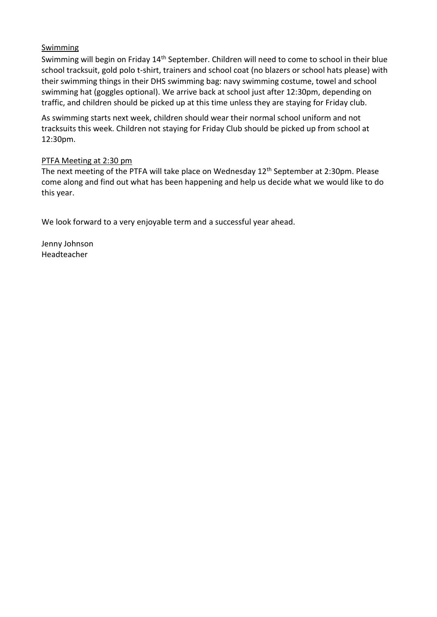## Swimming

Swimming will begin on Friday 14th September. Children will need to come to school in their blue school tracksuit, gold polo t-shirt, trainers and school coat (no blazers or school hats please) with their swimming things in their DHS swimming bag: navy swimming costume, towel and school swimming hat (goggles optional). We arrive back at school just after 12:30pm, depending on traffic, and children should be picked up at this time unless they are staying for Friday club.

As swimming starts next week, children should wear their normal school uniform and not tracksuits this week. Children not staying for Friday Club should be picked up from school at 12:30pm.

## PTFA Meeting at 2:30 pm

The next meeting of the PTFA will take place on Wednesday 12<sup>th</sup> September at 2:30pm. Please come along and find out what has been happening and help us decide what we would like to do this year.

We look forward to a very enjoyable term and a successful year ahead.

Jenny Johnson Headteacher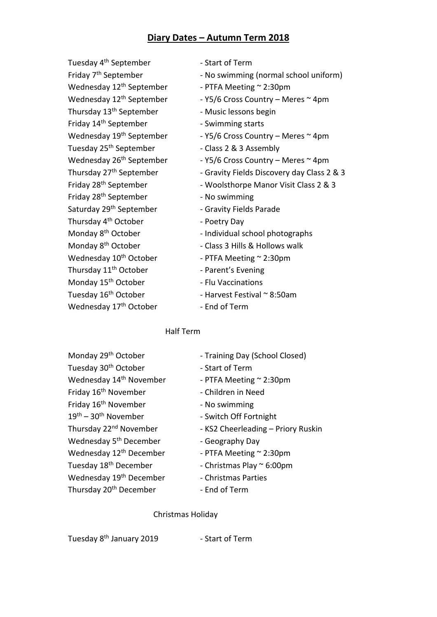## **Diary Dates – Autumn Term 2018**

Tuesday 4<sup>th</sup> September - Start of Term Wednesday  $12<sup>th</sup>$  September - PTFA Meeting  $\sim$  2:30pm Thursday 13<sup>th</sup> September - Music lessons begin Friday 14<sup>th</sup> September - Swimming starts Wednesday  $19<sup>th</sup>$  September - Y5/6 Cross Country – Meres  $\sim$  4pm Tuesday 25<sup>th</sup> September - Class 2 & 3 Assembly Friday 28<sup>th</sup> September - No swimming Saturday 29<sup>th</sup> September - Gravity Fields Parade Thursday 4<sup>th</sup> October - Poetry Day Monday 8<sup>th</sup> October - Individual school photographs Monday 8<sup>th</sup> October - Class 3 Hills & Hollows walk Wednesday  $10^{th}$  October - PTFA Meeting  $\sim$  2:30pm Thursday 11<sup>th</sup> October - Parent's Evening Monday 15<sup>th</sup> October - Flu Vaccinations Tuesday 16<sup>th</sup> October - Harvest Festival ~ 8:50am Wednesday 17<sup>th</sup> October - End of Term

- Friday 7<sup>th</sup> September No swimming (normal school uniform)
	-
- Wednesday  $12<sup>th</sup>$  September Y5/6 Cross Country Meres  $\sim$  4pm
	-
	-
	-
	-
- Wednesday  $26<sup>th</sup>$  September Y5/6 Cross Country Meres  $\sim$  4pm
- Thursday 27<sup>th</sup> September Gravity Fields Discovery day Class 2 & 3
- Friday 28<sup>th</sup> September Woolsthorpe Manor Visit Class 2 & 3
	-
	-
	-
	-
	-
	-
	-
	-
	- -

#### Half Term

Tuesday 30<sup>th</sup> October - Start of Term Wednesday  $14<sup>th</sup>$  November - PTFA Meeting  $\sim$  2:30pm Friday 16<sup>th</sup> November - Children in Need Friday  $16<sup>th</sup>$  November - No swimming  $19<sup>th</sup> - 30<sup>th</sup>$  November - Switch Off Fortnight Thursday 22<sup>nd</sup> November - KS2 Cheerleading – Priory Ruskin Wednesday  $5<sup>th</sup>$  December - Geography Day Wednesday  $12<sup>th</sup>$  December - PTFA Meeting  $\sim$  2:30pm Tuesday  $18<sup>th</sup>$  December - Christmas Play  $\sim$  6:00pm Wednesday 19<sup>th</sup> December - Christmas Parties Thursday 20<sup>th</sup> December - End of Term

- Monday 29<sup>th</sup> October Training Day (School Closed)
	-
	-
	-
	-
	-
	-
	-
	-
	-
	-
	-

#### Christmas Holiday

Tuesday 8<sup>th</sup> January 2019 - Start of Term